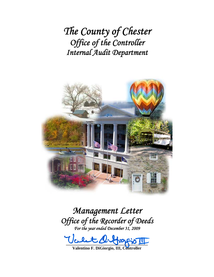*The County of Chester Office of the Controller Internal Audit Department*



*Management Letter Office of the Recorder of Deeds For the year ended December 31, 2009* 

**\_\_\_\_\_\_\_\_\_\_\_\_\_\_\_\_\_\_\_\_\_\_\_\_\_\_\_\_\_\_\_\_\_\_\_\_\_\_\_** 

**Valentino F. DiGiorgio, III, Controller**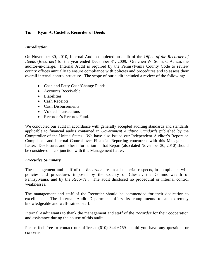## **To: Ryan A. Costello, Recorder of Deeds**

## *Introduction*

On November 30, 2010, Internal Audit completed an audit of the *Office of the Recorder of Deeds* (*Recorder*) for the year ended December 31, 2009. Gretchen W. Sohn, CIA, was the auditor-in-charge. Internal Audit is required by the Pennsylvania County Code to review county offices annually to ensure compliance with policies and procedures and to assess their overall internal control structure. The scope of our audit included a review of the following:

- Cash and Petty Cash/Change Funds
- Accounts Receivable
- Liabilities
- Cash Receipts
- Cash Disbursements
- Voided Transactions
- Recorder's Records Fund.

We conducted our audit in accordance with generally accepted auditing standards and standards applicable to financial audits contained in *Government Auditing Standards* published by the Comptroller of the United States. We have also issued our Independent Auditor's Report on Compliance and Internal Control over Financial Reporting concurrent with this Management Letter. Disclosures and other information in that Report (also dated November 30, 2010) should be considered in conjunction with this Management Letter.

#### *Executive Summary*

The management and staff of the *Recorder* are, in all material respects, in compliance with policies and procedures imposed by the County of Chester, the Commonwealth of Pennsylvania, and by the *Recorder*.The audit disclosed no procedural or internal control weaknesses.

The management and staff of the Recorder should be commended for their dedication to excellence. The Internal Audit Department offers its compliments to an extremely knowledgeable and well-trained staff.

Internal Audit wants to thank the management and staff of the *Recorder* for their cooperation and assistance during the course of this audit.

Please feel free to contact our office at (610) 344-6769 should you have any questions or concerns.